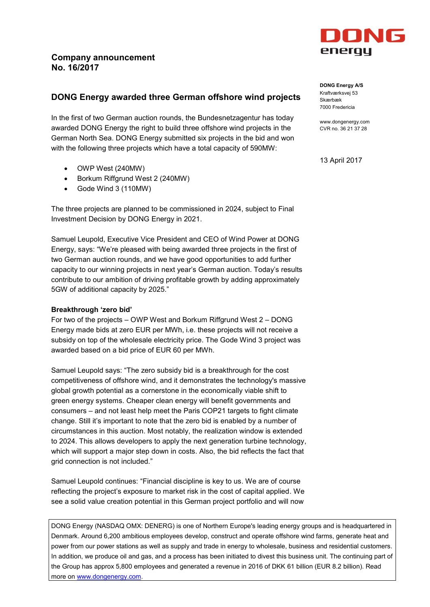

In the first of two German auction rounds, the Bundesnetzagentur has today awarded DONG Energy the right to build three offshore wind projects in the German North Sea. DONG Energy submitted six projects in the bid and won with the following three projects which have a total capacity of 590MW:

- $\bullet$  OWP West (240MW)
- Borkum Riffgrund West 2 (240MW)
- $\bullet$  Gode Wind 3 (110MW)

The three projects are planned to be commissioned in 2024, subject to Final Investment Decision by DONG Energy in 2021.

Samuel Leupold, Executive Vice President and CEO of Wind Power at DONG Energy, says: "We're pleased with being awarded three projects in the first of two German auction rounds, and we have good opportunities to add further capacity to our winning projects in next year's German auction. Today's results contribute to our ambition of driving profitable growth by adding approximately 5GW of additional capacity by 2025."

## **Breakthrough 'zero bid'**

For two of the projects – OWP West and Borkum Riffgrund West 2 – DONG Energy made bids at zero EUR per MWh, i.e. these projects will not receive a subsidy on top of the wholesale electricity price. The Gode Wind 3 project was awarded based on a bid price of EUR 60 per MWh.

Samuel Leupold says: "The zero subsidy bid is a breakthrough for the cost competitiveness of offshore wind, and it demonstrates the technology's massive global growth potential as a cornerstone in the economically viable shift to green energy systems. Cheaper clean energy will benefit governments and consumers – and not least help meet the Paris COP21 targets to fight climate change. Still it's important to note that the zero bid is enabled by a number of circumstances in this auction. Most notably, the realization window is extended to 2024. This allows developers to apply the next generation turbine technology, which will support a major step down in costs. Also, the bid reflects the fact that grid connection is not included."

Samuel Leupold continues: "Financial discipline is key to us. We are of course reflecting the project's exposure to market risk in the cost of capital applied. We see a solid value creation potential in this German project portfolio and will now

DONG Energy (NASDAQ OMX: DENERG) is one of Northern Europe's leading energy groups and is headquartered in Denmark. Around 6,200 ambitious employees develop, construct and operate offshore wind farms, generate heat and power from our power stations as well as supply and trade in energy to wholesale, business and residential customers. In addition, we produce oil and gas, and a process has been initiated to divest this business unit. The continuing part of the Group has approx 5,800 employees and generated a revenue in 2016 of DKK 61 billion (EUR 8.2 billion). Read more on [www.dongenergy.com.](http://www.dongenergy.com/)



**DONG Energy A/S** Kraftværksvej 53 Skærbæk 7000 Fredericia

www.dongenergy.com CVR no. 36 21 37 28

13 April 2017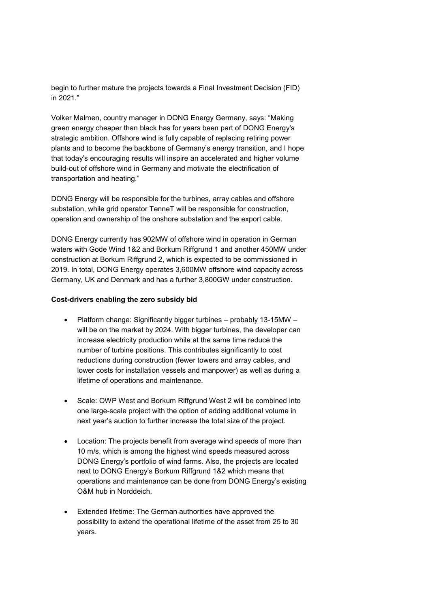begin to further mature the projects towards a Final Investment Decision (FID) in 2021."

Volker Malmen, country manager in DONG Energy Germany, says: "Making green energy cheaper than black has for years been part of DONG Energy's strategic ambition. Offshore wind is fully capable of replacing retiring power plants and to become the backbone of Germany's energy transition, and I hope that today's encouraging results will inspire an accelerated and higher volume build-out of offshore wind in Germany and motivate the electrification of transportation and heating."

DONG Energy will be responsible for the turbines, array cables and offshore substation, while grid operator TenneT will be responsible for construction, operation and ownership of the onshore substation and the export cable.

DONG Energy currently has 902MW of offshore wind in operation in German waters with Gode Wind 1&2 and Borkum Riffgrund 1 and another 450MW under construction at Borkum Riffgrund 2, which is expected to be commissioned in 2019. In total, DONG Energy operates 3,600MW offshore wind capacity across Germany, UK and Denmark and has a further 3,800GW under construction.

## **Cost-drivers enabling the zero subsidy bid**

- Platform change: Significantly bigger turbines probably 13-15MW will be on the market by 2024. With bigger turbines, the developer can increase electricity production while at the same time reduce the number of turbine positions. This contributes significantly to cost reductions during construction (fewer towers and array cables, and lower costs for installation vessels and manpower) as well as during a lifetime of operations and maintenance.
- Scale: OWP West and Borkum Riffgrund West 2 will be combined into one large-scale project with the option of adding additional volume in next year's auction to further increase the total size of the project.
- Location: The projects benefit from average wind speeds of more than 10 m/s, which is among the highest wind speeds measured across DONG Energy's portfolio of wind farms. Also, the projects are located next to DONG Energy's Borkum Riffgrund 1&2 which means that operations and maintenance can be done from DONG Energy's existing O&M hub in Norddeich.
- Extended lifetime: The German authorities have approved the possibility to extend the operational lifetime of the asset from 25 to 30 years.